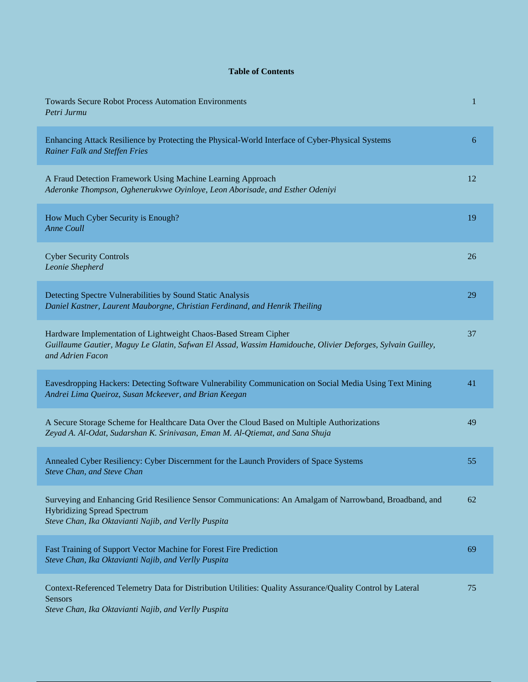## **Table of Contents**

| <b>Towards Secure Robot Process Automation Environments</b><br>Petri Jurmu                                                                                                                            | $\mathbf{1}$ |
|-------------------------------------------------------------------------------------------------------------------------------------------------------------------------------------------------------|--------------|
| Enhancing Attack Resilience by Protecting the Physical-World Interface of Cyber-Physical Systems<br>Rainer Falk and Steffen Fries                                                                     | 6            |
| A Fraud Detection Framework Using Machine Learning Approach<br>Aderonke Thompson, Oghenerukvwe Oyinloye, Leon Aborisade, and Esther Odeniyi                                                           | 12           |
| How Much Cyber Security is Enough?<br><b>Anne Coull</b>                                                                                                                                               | 19           |
| <b>Cyber Security Controls</b><br>Leonie Shepherd                                                                                                                                                     | 26           |
| Detecting Spectre Vulnerabilities by Sound Static Analysis<br>Daniel Kastner, Laurent Mauborgne, Christian Ferdinand, and Henrik Theiling                                                             | 29           |
| Hardware Implementation of Lightweight Chaos-Based Stream Cipher<br>Guillaume Gautier, Maguy Le Glatin, Safwan El Assad, Wassim Hamidouche, Olivier Deforges, Sylvain Guilley,<br>and Adrien Facon    | 37           |
| Eavesdropping Hackers: Detecting Software Vulnerability Communication on Social Media Using Text Mining<br>Andrei Lima Queiroz, Susan Mckeever, and Brian Keegan                                      | 41           |
| A Secure Storage Scheme for Healthcare Data Over the Cloud Based on Multiple Authorizations<br>Zeyad A. Al-Odat, Sudarshan K. Srinivasan, Eman M. Al-Qtiemat, and Sana Shuja                          | 49           |
| Annealed Cyber Resiliency: Cyber Discernment for the Launch Providers of Space Systems<br>Steve Chan, and Steve Chan                                                                                  | 55           |
| Surveying and Enhancing Grid Resilience Sensor Communications: An Amalgam of Narrowband, Broadband, and<br><b>Hybridizing Spread Spectrum</b><br>Steve Chan, Ika Oktavianti Najib, and Verlly Puspita | 62           |
| Fast Training of Support Vector Machine for Forest Fire Prediction<br>Steve Chan, Ika Oktavianti Najib, and Verlly Puspita                                                                            | 69           |
| Context-Referenced Telemetry Data for Distribution Utilities: Quality Assurance/Quality Control by Lateral<br>Sensors                                                                                 | 75           |

*Steve Chan, Ika Oktavianti Najib, and Verlly Puspita*